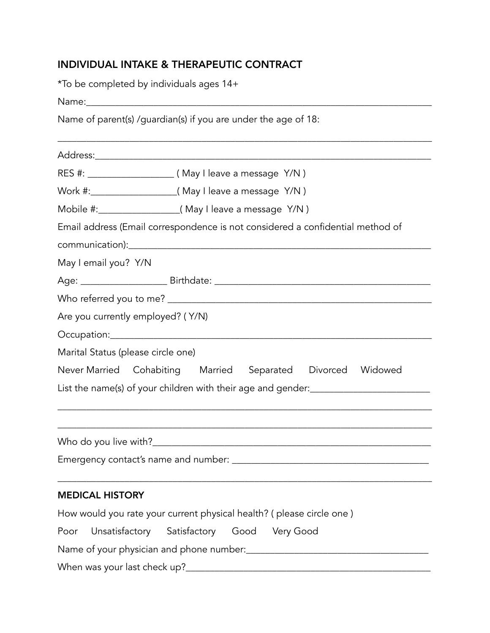# INDIVIDUAL INTAKE & THERAPEUTIC CONTRACT

\*To be completed by individuals ages 14+

Name:\_\_\_\_\_\_\_\_\_\_\_\_\_\_\_\_\_\_\_\_\_\_\_\_\_\_\_\_\_\_\_\_\_\_\_\_\_\_\_\_\_\_\_\_\_\_\_\_\_\_\_\_\_\_\_\_\_\_\_\_\_\_\_\_\_\_\_\_\_\_\_\_

Name of parent(s) /guardian(s) if you are under the age of 18:

| Email address (Email correspondence is not considered a confidential method of    |  |  |
|-----------------------------------------------------------------------------------|--|--|
|                                                                                   |  |  |
| May I email you? Y/N                                                              |  |  |
|                                                                                   |  |  |
|                                                                                   |  |  |
| Are you currently employed? (Y/N)                                                 |  |  |
|                                                                                   |  |  |
| Marital Status (please circle one)                                                |  |  |
| Never Married Cohabiting Married Separated Divorced Widowed                       |  |  |
| List the name(s) of your children with their age and gender:_____________________ |  |  |
|                                                                                   |  |  |
|                                                                                   |  |  |
|                                                                                   |  |  |
|                                                                                   |  |  |
| <b>MEDICAL HISTORY</b>                                                            |  |  |
| How would you rate your current physical health? ( please circle one )            |  |  |
| Unsatisfactory Satisfactory Good VeryGood<br>Poor                                 |  |  |
|                                                                                   |  |  |
|                                                                                   |  |  |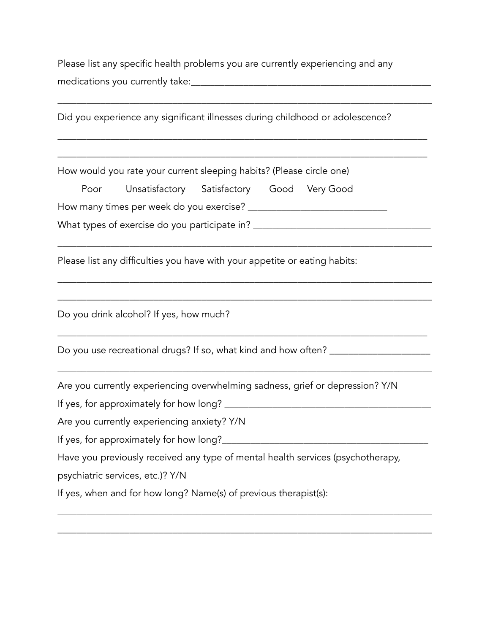Please list any specific health problems you are currently experiencing and any medications you currently take:\_\_\_\_\_\_\_\_\_\_\_\_\_\_\_\_\_\_\_\_\_\_\_\_\_\_\_\_\_\_\_\_\_\_\_\_\_\_\_\_\_\_\_\_\_\_\_\_\_\_

| Did you experience any significant illnesses during childhood or adolescence?                                              |  |  |
|----------------------------------------------------------------------------------------------------------------------------|--|--|
| How would you rate your current sleeping habits? (Please circle one)<br>Unsatisfactory Satisfactory Good Very Good<br>Poor |  |  |
|                                                                                                                            |  |  |
| What types of exercise do you participate in? __________________________________                                           |  |  |
| Please list any difficulties you have with your appetite or eating habits:                                                 |  |  |
| Do you drink alcohol? If yes, how much?                                                                                    |  |  |
| Do you use recreational drugs? If so, what kind and how often? _____                                                       |  |  |
| Are you currently experiencing overwhelming sadness, grief or depression? Y/N                                              |  |  |
| If yes, for approximately for how long?                                                                                    |  |  |
| Are you currently experiencing anxiety? Y/N                                                                                |  |  |
| If yes, for approximately for how long?_________                                                                           |  |  |
| Have you previously received any type of mental health services (psychotherapy,                                            |  |  |
| psychiatric services, etc.)? Y/N                                                                                           |  |  |
| If yes, when and for how long? Name(s) of previous therapist(s):                                                           |  |  |

\_\_\_\_\_\_\_\_\_\_\_\_\_\_\_\_\_\_\_\_\_\_\_\_\_\_\_\_\_\_\_\_\_\_\_\_\_\_\_\_\_\_\_\_\_\_\_\_\_\_\_\_\_\_\_\_\_\_\_\_\_\_\_\_\_\_\_\_\_\_\_\_\_\_\_\_\_\_

\_\_\_\_\_\_\_\_\_\_\_\_\_\_\_\_\_\_\_\_\_\_\_\_\_\_\_\_\_\_\_\_\_\_\_\_\_\_\_\_\_\_\_\_\_\_\_\_\_\_\_\_\_\_\_\_\_\_\_\_\_\_\_\_\_\_\_\_\_\_\_\_\_\_\_\_\_\_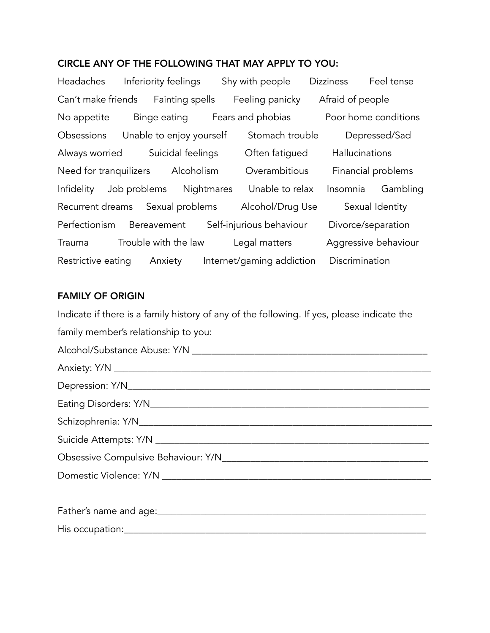### CIRCLE ANY OF THE FOLLOWING THAT MAY APPLY TO YOU:

Headaches Inferiority feelings Shy with people Dizziness Feel tense Can't make friends Fainting spells Feeling panicky Afraid of people No appetite Binge eating Fears and phobias Poor home conditions Obsessions Unable to enjoy yourself Stomach trouble Depressed/Sad Always worried Suicidal feelings Often fatigued Hallucinations Need for tranquilizers Alcoholism Overambitious Financial problems Infidelity Job problems Nightmares Unable to relax Insomnia Gambling Recurrent dreams Sexual problems Alcohol/Drug Use Sexual Identity Perfectionism Bereavement Self-injurious behaviour Divorce/separation Trauma Trouble with the law Legal matters Aggressive behaviour Restrictive eating Anxiety Internet/gaming addiction Discrimination

### FAMILY OF ORIGIN

Indicate if there is a family history of any of the following. If yes, please indicate the family member's relationship to you: Alcohol/Substance Abuse: Y/N \_\_\_\_\_\_\_\_\_\_\_\_\_\_\_\_\_\_\_\_\_\_\_\_\_\_\_\_\_\_\_\_\_\_\_\_\_\_\_\_\_\_\_\_\_\_\_\_\_ Anxiety: Y/N \_\_\_\_\_\_\_\_\_\_\_\_\_\_\_\_\_\_\_\_\_\_\_\_\_\_\_\_\_\_\_\_\_\_\_\_\_\_\_\_\_\_\_\_\_\_\_\_\_\_\_\_\_\_\_\_\_\_\_\_\_\_\_\_\_\_ Depression: Y/N\_\_\_\_\_\_\_\_\_\_\_\_\_\_\_\_\_\_\_\_\_\_\_\_\_\_\_\_\_\_\_\_\_\_\_\_\_\_\_\_\_\_\_\_\_\_\_\_\_\_\_\_\_\_\_\_\_\_\_\_\_\_\_ Eating Disorders: Y/N\_\_\_\_\_\_\_\_\_\_\_\_\_\_\_\_\_\_\_\_\_\_\_\_\_\_\_\_\_\_\_\_\_\_\_\_\_\_\_\_\_\_\_\_\_\_\_\_\_\_\_\_\_\_\_\_\_\_ Schizophrenia: Y/N\_\_\_\_\_\_\_\_\_\_\_\_\_\_\_\_\_\_\_\_\_\_\_\_\_\_\_\_\_\_\_\_\_\_\_\_\_\_\_\_\_\_\_\_\_\_\_\_\_\_\_\_\_\_\_\_\_\_\_\_\_ Suicide Attempts: Y/N \_\_\_\_\_\_\_\_\_\_\_\_\_\_\_\_\_\_\_\_\_\_\_\_\_\_\_\_\_\_\_\_\_\_\_\_\_\_\_\_\_\_\_\_\_\_\_\_\_\_\_\_\_\_\_\_\_ Obsessive Compulsive Behaviour: Y/N\_\_\_\_\_\_\_\_\_\_\_\_\_\_\_\_\_\_\_\_\_\_\_\_\_\_\_\_\_\_\_\_\_\_\_\_\_\_\_\_\_\_\_ Domestic Violence: Y/N \_\_\_\_\_\_\_\_\_\_\_\_\_\_\_\_\_\_\_\_\_\_\_\_\_\_\_\_\_\_\_\_\_\_\_\_\_\_\_\_\_\_\_\_\_\_\_\_\_\_\_\_\_\_\_\_ Father's name and age:  $\Box$ His occupation:\_\_\_\_\_\_\_\_\_\_\_\_\_\_\_\_\_\_\_\_\_\_\_\_\_\_\_\_\_\_\_\_\_\_\_\_\_\_\_\_\_\_\_\_\_\_\_\_\_\_\_\_\_\_\_\_\_\_\_\_\_\_\_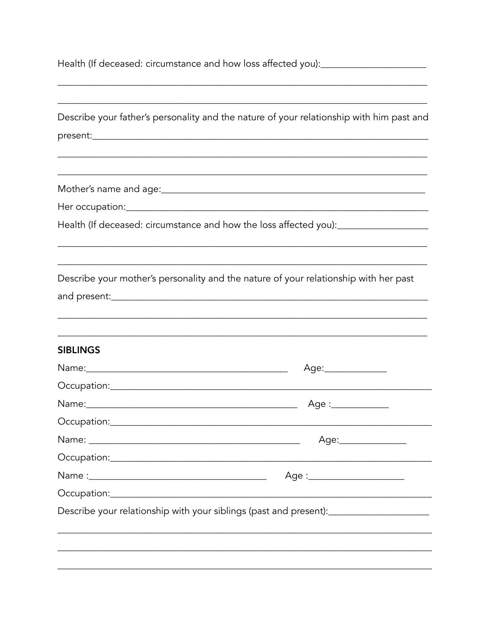Health (If deceased: circumstance and how loss affected you):\_\_\_\_\_\_\_\_\_\_\_\_\_\_\_\_\_\_\_

|                 | Describe your father's personality and the nature of your relationship with him past and          |
|-----------------|---------------------------------------------------------------------------------------------------|
|                 |                                                                                                   |
|                 |                                                                                                   |
|                 |                                                                                                   |
|                 |                                                                                                   |
|                 | Health (If deceased: circumstance and how the loss affected you):_______________                  |
|                 | Describe your mother's personality and the nature of your relationship with her past              |
|                 |                                                                                                   |
| <b>SIBLINGS</b> |                                                                                                   |
|                 | Age:______________                                                                                |
|                 |                                                                                                   |
|                 |                                                                                                   |
|                 |                                                                                                   |
|                 | Age:________________                                                                              |
|                 |                                                                                                   |
|                 | Age :________________________                                                                     |
|                 |                                                                                                   |
|                 | Describe your relationship with your siblings (past and present): [11] Describe your relationship |
|                 |                                                                                                   |
|                 |                                                                                                   |
|                 |                                                                                                   |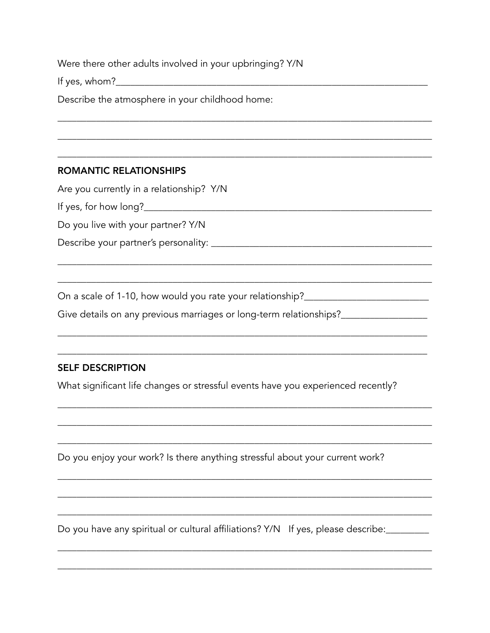Were there other adults involved in your upbringing? Y/N

Describe the atmosphere in your childhood home:

## **ROMANTIC RELATIONSHIPS**

Are you currently in a relationship? Y/N

Do you live with your partner? Y/N

On a scale of 1-10, how would you rate your relationship?\_\_\_\_\_\_\_\_\_\_\_\_\_\_\_\_\_\_\_\_\_\_\_\_

Give details on any previous marriages or long-term relationships?\_\_\_\_\_\_\_\_\_\_\_\_\_\_

# **SELF DESCRIPTION**

What significant life changes or stressful events have you experienced recently?

Do you enjoy your work? Is there anything stressful about your current work?

Do you have any spiritual or cultural affiliations? Y/N If yes, please describe:<br>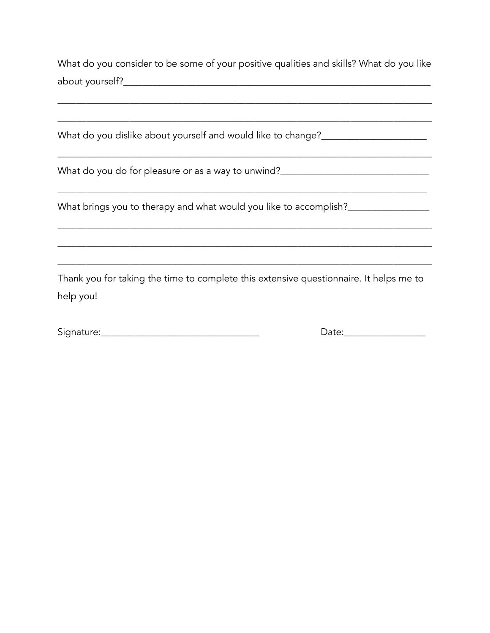What do you consider to be some of your positive qualities and skills? What do you like about yourself?

What brings you to therapy and what would you like to accomplish?

Thank you for taking the time to complete this extensive questionnaire. It helps me to help you!

Signature: Management and Communications of the Communication of the Communication of the Communication of the

Date: Date: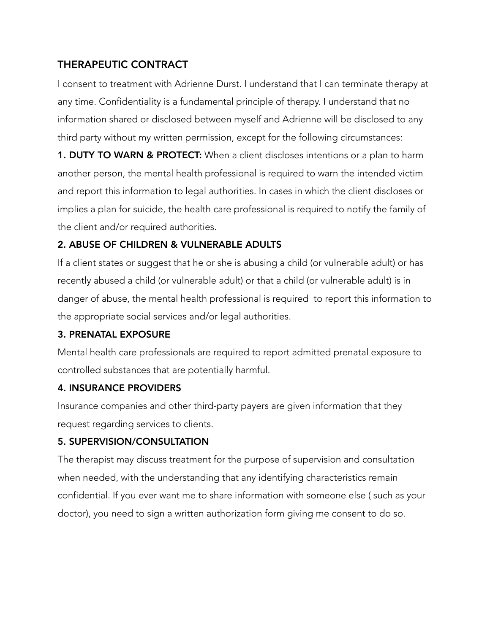# THERAPEUTIC CONTRACT

I consent to treatment with Adrienne Durst. I understand that I can terminate therapy at any time. Confidentiality is a fundamental principle of therapy. I understand that no information shared or disclosed between myself and Adrienne will be disclosed to any third party without my written permission, except for the following circumstances:

**1. DUTY TO WARN & PROTECT:** When a client discloses intentions or a plan to harm another person, the mental health professional is required to warn the intended victim and report this information to legal authorities. In cases in which the client discloses or implies a plan for suicide, the health care professional is required to notify the family of the client and/or required authorities.

# 2. ABUSE OF CHILDREN & VULNERABLE ADULTS

If a client states or suggest that he or she is abusing a child (or vulnerable adult) or has recently abused a child (or vulnerable adult) or that a child (or vulnerable adult) is in danger of abuse, the mental health professional is required to report this information to the appropriate social services and/or legal authorities.

## 3. PRENATAL EXPOSURE

Mental health care professionals are required to report admitted prenatal exposure to controlled substances that are potentially harmful.

## 4. INSURANCE PROVIDERS

Insurance companies and other third-party payers are given information that they request regarding services to clients.

## 5. SUPERVISION/CONSULTATION

The therapist may discuss treatment for the purpose of supervision and consultation when needed, with the understanding that any identifying characteristics remain confidential. If you ever want me to share information with someone else ( such as your doctor), you need to sign a written authorization form giving me consent to do so.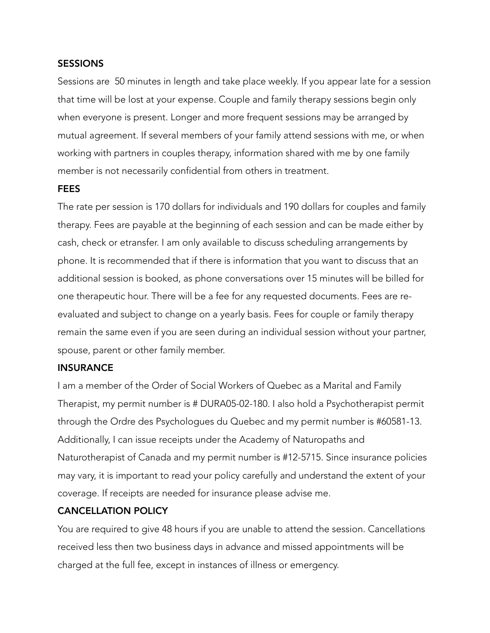#### **SESSIONS**

Sessions are 50 minutes in length and take place weekly. If you appear late for a session that time will be lost at your expense. Couple and family therapy sessions begin only when everyone is present. Longer and more frequent sessions may be arranged by mutual agreement. If several members of your family attend sessions with me, or when working with partners in couples therapy, information shared with me by one family member is not necessarily confidential from others in treatment.

#### **FEES**

The rate per session is 170 dollars for individuals and 190 dollars for couples and family therapy. Fees are payable at the beginning of each session and can be made either by cash, check or etransfer. I am only available to discuss scheduling arrangements by phone. It is recommended that if there is information that you want to discuss that an additional session is booked, as phone conversations over 15 minutes will be billed for one therapeutic hour. There will be a fee for any requested documents. Fees are reevaluated and subject to change on a yearly basis. Fees for couple or family therapy remain the same even if you are seen during an individual session without your partner, spouse, parent or other family member.

#### **INSURANCE**

I am a member of the Order of Social Workers of Quebec as a Marital and Family Therapist, my permit number is # DURA05-02-180. I also hold a Psychotherapist permit through the Ordre des Psychologues du Quebec and my permit number is #60581-13. Additionally, I can issue receipts under the Academy of Naturopaths and Naturotherapist of Canada and my permit number is #12-5715. Since insurance policies may vary, it is important to read your policy carefully and understand the extent of your coverage. If receipts are needed for insurance please advise me.

#### CANCELLATION POLICY

You are required to give 48 hours if you are unable to attend the session. Cancellations received less then two business days in advance and missed appointments will be charged at the full fee, except in instances of illness or emergency.